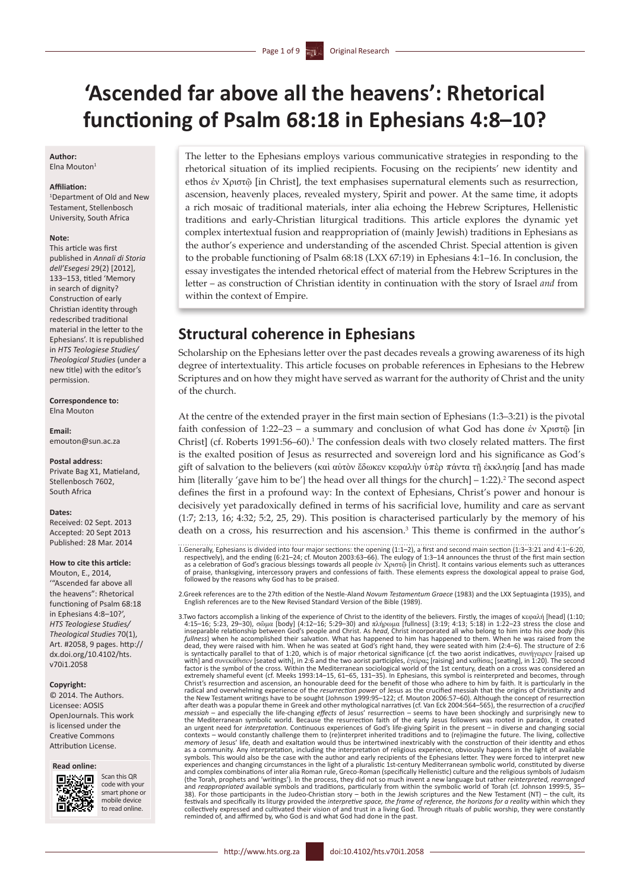# **'Ascended far above all the heavens': Rhetorical functioning of Psalm 68:18 in Ephesians 4:8–10?**

### **Author:**

Elna Mouton<sup>1</sup>

#### **Affiliation:**

1 Department of Old and New Testament, Stellenbosch University, South Africa

#### **Note:**

This article was first published in *Annali di Storia dell'Esegesi* 29(2) [2012], 133–153, titled 'Memory in search of dignity? Construction of early Christian identity through redescribed traditional material in the letter to the Ephesians'. It is republished in *HTS Teologiese Studies/ Theological Studies* (under a new title) with the editor's permission.

**Correspondence to:** Elna Mouton

**Email:**

[emouton@sun.ac.za](mailto:emouton@sun.ac.za)

#### **Postal address:**

Private Bag X1, Matieland, Stellenbosch 7602, South Africa

#### **Dates:**

Received: 02 Sept. 2013 Accepted: 20 Sept 2013 Published: 28 Mar. 2014

#### **How to cite this article:**

Mouton, E., 2014, '"Ascended far above all the heavens": Rhetorical functioning of Psalm 68:18 in Ephesians 4:8–10?', *HTS Teologiese Studies/ Theological Studies* 70(1), Art. #2058, 9 pages. [http://](http://dx.doi.org/10.4102/hts.v70i1.2058) [dx.doi.org/10.4102/hts.](http://dx.doi.org/10.4102/hts.v70i1.2058) [v70i1.2058](http://dx.doi.org/10.4102/hts.v70i1.2058)

#### **Copyright:**

© 2014. The Authors. Licensee: AOSIS OpenJournals. This work is licensed under the Creative Commons Attribution License.



Scan this OR code with your smart phone or mobile device to read online.

The letter to the Ephesians employs various communicative strategies in responding to the rhetorical situation of its implied recipients. Focusing on the recipients' new identity and ethos ἐν Χριστῷ [in Christ], the text emphasises supernatural elements such as resurrection, ascension, heavenly places, revealed mystery, Spirit and power. At the same time, it adopts a rich mosaic of traditional materials, inter alia echoing the Hebrew Scriptures, Hellenistic traditions and early-Christian liturgical traditions. This article explores the dynamic yet complex intertextual fusion and reappropriation of (mainly Jewish) traditions in Ephesians as the author's experience and understanding of the ascended Christ. Special attention is given to the probable functioning of Psalm 68:18 (LXX 67:19) in Ephesians 4:1–16. In conclusion, the essay investigates the intended rhetorical effect of material from the Hebrew Scriptures in the letter – as construction of Christian identity in continuation with the story of Israel *and* from within the context of Empire.

### **Structural coherence in Ephesians**

Scholarship on the Ephesians letter over the past decades reveals a growing awareness of its high degree of intertextuality. This article focuses on probable references in Ephesians to the Hebrew Scriptures and on how they might have served as warrant for the authority of Christ and the unity of the church.

At the centre of the extended prayer in the first main section of Ephesians (1:3–3:21) is the pivotal faith confession of 1:22–23 – a summary and conclusion of what God has done ἐν Χριστῷ [in Christ] (cf. Roberts 1991:56–60).<sup>1</sup> The confession deals with two closely related matters. The first is the exalted position of Jesus as resurrected and sovereign lord and his significance as God's gift of salvation to the believers (καὶ αὐτὸν ἔδωκεν κεφαλὴν ὑπὲρ πάντα τῇ ἐκκλησίᾳ [and has made him {literally 'gave him to be'} the head over all things for the church] – 1:22).<sup>2</sup> The second aspect defines the first in a profound way: In the context of Ephesians, Christ's power and honour is decisively yet paradoxically defined in terms of his sacrificial love, humility and care as servant  $(1:7; 2:13, 16; 4:32; 5:2, 25, 29)$ . This position is characterised particularly by the memory of his death on a cross, his resurrection and his ascension.<sup>3</sup> This theme is confirmed in the author's

1.Generally, Ephesians is divided into four major sections: the opening (1:1–2), a first and second main section (1:3–3:21 and 4:1–6:20, respectively), and the ending (6:21–24; cf. Mouton 2003:63–66). The eulogy of 1:3–14 announces the thrust of the first main section<br>as a celebration of God's gracious blessings towards all people ἐν Χριστῷ [in Christ]. It of praise, thanksgiving, intercessory prayers and confessions of faith. These elements express the doxological appeal to praise God, followed by the reasons why God has to be praised.

2.Greek references are to the 27th edition of the Nestle-Aland *Novum Testamentum Graece* (1983) and the LXX Septuaginta (1935), and English references are to the New Revised Standard Version of the Bible (1989).

<sup>3.</sup>Two factors accomplish a linking of the experience of Christ to the identity of the believers. Firstly, the images of  $\kappa$ εφαλή [head] (1:10; 4:15–16; 5:23, 29–30), σῶμα [body] (4:12–16; 5:29–30) and πλήρωμα [fullness] is syntactically parallel to that of 1:20, which is of major rhetorical significance (cf. the two aorist indicatives, συνήγειρεν [raised up with] and συνεκάθισεν [seated with], in 2:6 and the two aorist participles, ἐγείρας [raising] and καθίσας [seating], in 1:20). The second<br>factor is the symbol of the cross. Within the Mediterranean sociological world of t extremely shameful event (cf. Meeks 1993:14–15, 61–65, 131–35). In Ephesians, this symbol is reinterpreted and becomes, through<br>Christ's resurrection and ascension, an honourable deed for the benefit of those who adhere to radical and overwhelming experience of the resurrection power of Jesus as the crucified messiah that the origins of Christianity and<br>the New Testament writings have to be sought (Johnson 1999:95–122; cf. Mouton 2006:57–60) after death was a popular theme in Greek and other mythological narratives (cf. Van Eck 2004:564–565), the resurrection of a crucified<br>messiah – and especially the life-changing effects of Jesus' resurrection – seems to ha the Mediterranean symbolic world. Because the resurrection faith of the early Jesus followers was rooted in paradox, it created<br>an urgent need for *interpretation*. Continuous experiences of God's life-giving Spirit in the contexts – would constantly challenge them to (re)interpret inherited traditions and to (re)imagine the future. The living, collective *memory* of Jesus' life, death and exaltation would thus be intertwined inextricably wi (the Torah, prophets and 'writings'). In the process, they did not so much invent a new language but rather *reinterpreted, rearranged*<br>and *reappropriated* available symbols and traditions, particularly from within the sy festivals and specifically its liturgy provided the *interpretive space, the frame of reference, the horizons for a reality* within which they collectively expressed and cultivated their vision of and trust in a living God. Through rituals of public worship, they were constantly reminded of, and affirmed by, who God is and what God had done in the past.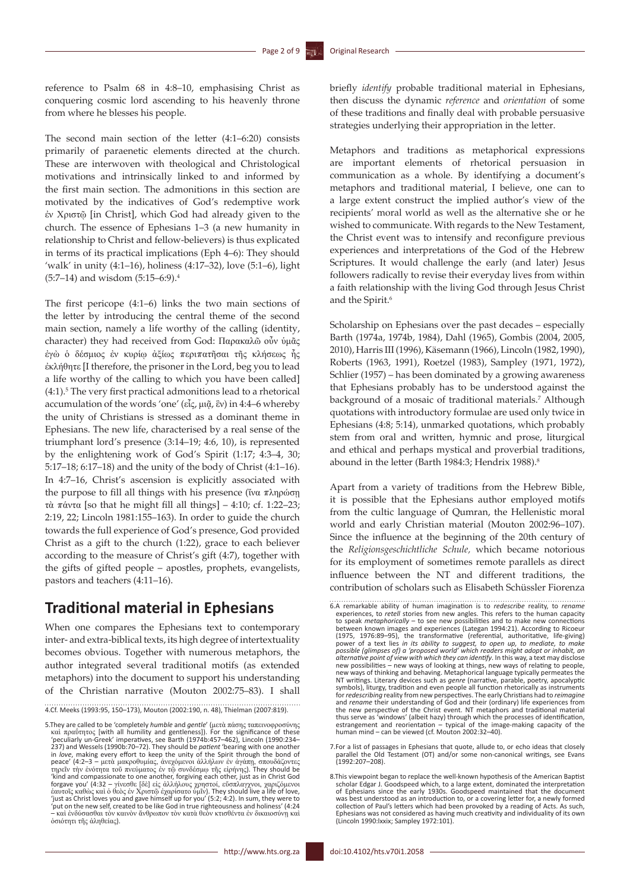reference to Psalm 68 in 4:8–10, emphasising Christ as conquering cosmic lord ascending to his heavenly throne from where he blesses his people.

The second main section of the letter (4:1–6:20) consists primarily of paraenetic elements directed at the church. These are interwoven with theological and Christological motivations and intrinsically linked to and informed by the first main section. The admonitions in this section are motivated by the indicatives of God's redemptive work ἐν Χριστῷ [in Christ], which God had already given to the church. The essence of Ephesians 1–3 (a new humanity in relationship to Christ and fellow-believers) is thus explicated in terms of its practical implications (Eph 4–6): They should 'walk' in unity (4:1–16), holiness (4:17–32), love (5:1–6), light (5:7–14) and wisdom (5:15–6:9).4

The first pericope (4:1–6) links the two main sections of the letter by introducing the central theme of the second main section, namely a life worthy of the calling (identity, character) they had received from God: Παρακαλῶ οὖν ὑμᾶς ἐγὼ ὁ δέσμιος ἐν κυρίῳ ἀξίως περιπατῆσαι τῆς κλήσεως ἧς ἐκλήθητε [I therefore, the prisoner in the Lord, beg you to lead a life worthy of the calling to which you have been called] (4:1).5 The very first practical admonitions lead to a rhetorical accumulation of the words 'one' (εἷς, μιᾷ, ἓν) in 4:4–6 whereby the unity of Christians is stressed as a dominant theme in Ephesians. The new life, characterised by a real sense of the triumphant lord's presence (3:14–19; 4:6, 10), is represented by the enlightening work of God's Spirit (1:17; 4:3–4, 30; 5:17–18; 6:17–18) and the unity of the body of Christ (4:1–16). In 4:7–16, Christ's ascension is explicitly associated with the purpose to fill all things with his presence (ἵνα πληρώσῃ τὰ πάντα [so that he might fill all things] – 4:10; cf. 1:22–23; 2:19, 22; Lincoln 1981:155–163). In order to guide the church towards the full experience of God's presence, God provided Christ as a gift to the church (1:22), grace to each believer according to the measure of Christ's gift (4:7), together with the gifts of gifted people – apostles, prophets, evangelists, pastors and teachers (4:11–16).

### **Traditional material in Ephesians**

When one compares the Ephesians text to contemporary inter- and extra-biblical texts, its high degree of intertextuality becomes obvious. Together with numerous metaphors, the author integrated several traditional motifs (as extended metaphors) into the document to support his understanding of the Christian narrative (Mouton 2002:75–83). I shall

briefly *identify* probable traditional material in Ephesians, then discuss the dynamic *reference* and *orientation* of some of these traditions and finally deal with probable persuasive strategies underlying their appropriation in the letter.

Metaphors and traditions as metaphorical expressions are important elements of rhetorical persuasion in communication as a whole. By identifying a document's metaphors and traditional material, I believe, one can to a large extent construct the implied author's view of the recipients' moral world as well as the alternative she or he wished to communicate. With regards to the New Testament, the Christ event was to intensify and reconfigure previous experiences and interpretations of the God of the Hebrew Scriptures. It would challenge the early (and later) Jesus followers radically to revise their everyday lives from within a faith relationship with the living God through Jesus Christ and the Spirit.<sup>6</sup>

Scholarship on Ephesians over the past decades – especially Barth (1974a, 1974b, 1984), Dahl (1965), Gombis (2004, 2005, 2010), Harris III (1996), Käsemann (1966), Lincoln (1982, 1990), Roberts (1963, 1991), Roetzel (1983), Sampley (1971, 1972), Schlier (1957) – has been dominated by a growing awareness that Ephesians probably has to be understood against the background of a mosaic of traditional materials.<sup>7</sup> Although quotations with introductory formulae are used only twice in Ephesians (4:8; 5:14), unmarked quotations, which probably stem from oral and written, hymnic and prose, liturgical and ethical and perhaps mystical and proverbial traditions, abound in the letter (Barth 1984:3; Hendrix 1988).<sup>8</sup>

Apart from a variety of traditions from the Hebrew Bible, it is possible that the Ephesians author employed motifs from the cultic language of Qumran, the Hellenistic moral world and early Christian material (Mouton 2002:96–107). Since the influence at the beginning of the 20th century of the *Religionsgeschichtliche Schule,* which became notorious for its employment of sometimes remote parallels as direct influence between the NT and different traditions, the contribution of scholars such as Elisabeth Schüssler Fiorenza

<sup>4.</sup>Cf. Meeks (1993:95, 150–173), Mouton (2002:190, n. 48), Thielman (2007:819).

<sup>5.</sup>They are called to be 'completely *humble* and *gentle' (μετὰ πάσ*ης ταπεινοφροσύνης<br>καὶ πραΐτητος [with all humility and gentleness]). For the significance of these<br>- ρεσμίαrly un-Greek' imperatives, see Barth (1974b: 237) and Wessels (1990b:70–72). They should be *patient '*bearing with one another in *love*, making every effort to keep the unity of the Spirit through the bond of peace' (4:2–3 – μετά μακροθυμίας, άνεχόμενοι άλλήλων έν έαυτοῖς καθὼς καὶ ὁ θεὸς ἐν Χριστῷ ἐχαρίσατο ὑμῖν). They should live a life of love,<br>'just as Christ loves you and gave himself up for you' (5:2; 4:2). In sum, they were to<br>'put on the new self, created to be like God in – καὶ ἐνδύσασθαι τὸν καινὸν ἄνθρωπον τὸν κατὰ θεὸν κτισθέντα ἐν δικαιοσύνῃ καὶ ὁσιότητι τῆς ἀληθείας).

<sup>6.</sup>A remarkable ability of human imagination is to *redescribe* reality, to *rename* experiences, to *retell* stories from new angles. This refers to the human capacity to speak *metaphorically* – to see new possibilities a between known images and experiences (Lategan 1994:21). According to Ricoeur (1975, 1976:89–95), the transformative (referential, authoritative, life-giving) power of a text lies *in its ability to suggest, to open up, to mediate, to make possible (glimpses of) a 'proposed world' which readers might adopt or inhabit, an*  alternative point of view with which they can identify. In this way, a text may disclose new possibilities – new ways of tooking at thing new possibilities in the may all propole, new ways of thinking and behaving. Metapho and *rename* their understanding of God and their (ordinary) life experiences from<br>the new perspective of the Christ event. NT metaphors and traditional material<br>thus serve as 'windows' (abeit hazy) through which the proc

<sup>7.</sup>For a list of passages in Ephesians that quote, allude to, or echo ideas that closely parallel the Old Testament (OT) and/or some non-canonical writings, see Evans (1992:207–208).

<sup>8.</sup>This viewpoint began to replace the well-known hypothesis of the American Baptist scholar Edgar J. Goodspeed which, to a large extent, dominated the interpretation of Ephesians since the early 1930s. Goodspeed maintained that the document was best understood as an introduction to, or a covering letter for, a newly formed collection of Paul's letters which had been provoked by a reading of Acts. As such, Ephesians was not considered as having much creativity and individuality of its own (Lincoln 1990:lxxix; Sampley 1972:101).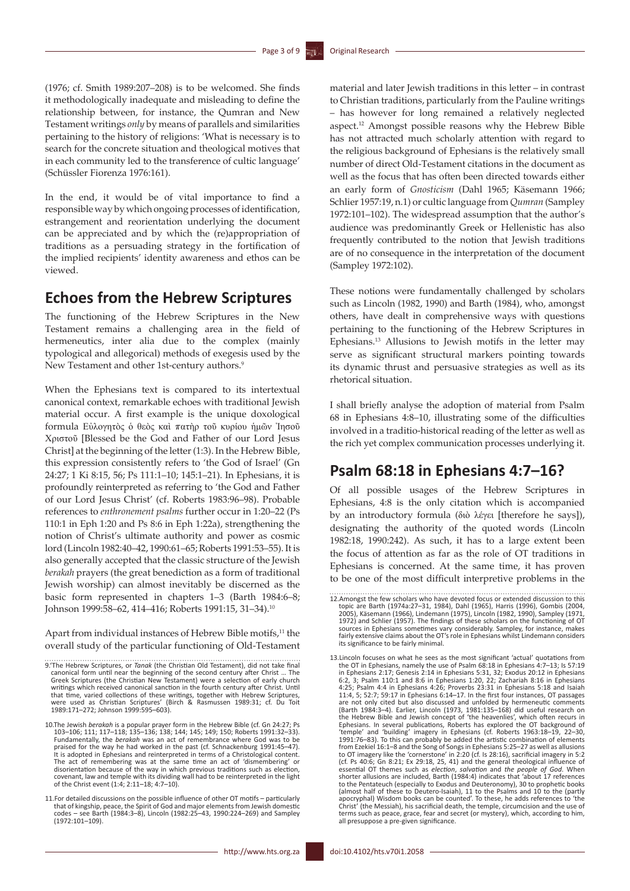(1976; cf. Smith 1989:207–208) is to be welcomed. She finds it methodologically inadequate and misleading to define the relationship between, for instance, the Qumran and New Testament writings *only* by means of parallels and similarities pertaining to the history of religions: 'What is necessary is to search for the concrete situation and theological motives that in each community led to the transference of cultic language' (Schüssler Fiorenza 1976:161).

In the end, it would be of vital importance to find a responsible way by which ongoing processes of identification, estrangement and reorientation underlying the document can be appreciated and by which the (re)appropriation of traditions as a persuading strategy in the fortification of the implied recipients' identity awareness and ethos can be viewed.

### **Echoes from the Hebrew Scriptures**

The functioning of the Hebrew Scriptures in the New Testament remains a challenging area in the field of hermeneutics, inter alia due to the complex (mainly typological and allegorical) methods of exegesis used by the New Testament and other 1st-century authors.<sup>9</sup>

When the Ephesians text is compared to its intertextual canonical context, remarkable echoes with traditional Jewish material occur. A first example is the unique doxological formula Εὐλογητὸς ὁ θεὸς καὶ πατὴρ τοῦ κυρίου ἡμῶν Ἰησοῦ Χριστοῦ [Blessed be the God and Father of our Lord Jesus Christ] at the beginning of the letter (1:3). In the Hebrew Bible, this expression consistently refers to 'the God of Israel' (Gn 24:27; 1 Ki 8:15, 56; Ps 111:1–10; 145:1–21). In Ephesians, it is profoundly reinterpreted as referring to 'the God and Father of our Lord Jesus Christ' (cf. Roberts 1983:96–98). Probable references to *enthronement psalms* further occur in 1:20–22 (Ps 110:1 in Eph 1:20 and Ps 8:6 in Eph 1:22a), strengthening the notion of Christ's ultimate authority and power as cosmic lord (Lincoln 1982:40–42, 1990:61–65; Roberts 1991:53–55). It is also generally accepted that the classic structure of the Jewish *berakah* prayers (the great benediction as a form of traditional Jewish worship) can almost inevitably be discerned as the basic form represented in chapters 1–3 (Barth 1984:6–8; Johnson 1999:58–62, 414–416; Roberts 1991:15, 31–34).10

Apart from individual instances of Hebrew Bible motifs,<sup>11</sup> the overall study of the particular functioning of Old-Testament material and later Jewish traditions in this letter – in contrast to Christian traditions, particularly from the Pauline writings – has however for long remained a relatively neglected aspect.12 Amongst possible reasons why the Hebrew Bible has not attracted much scholarly attention with regard to the religious background of Ephesians is the relatively small number of direct Old-Testament citations in the document as well as the focus that has often been directed towards either an early form of *Gnosticism* (Dahl 1965; Käsemann 1966; Schlier 1957:19, n.1) or cultic language from *Qumran* (Sampley 1972:101–102). The widespread assumption that the author's audience was predominantly Greek or Hellenistic has also frequently contributed to the notion that Jewish traditions are of no consequence in the interpretation of the document (Sampley 1972:102).

These notions were fundamentally challenged by scholars such as Lincoln (1982, 1990) and Barth (1984), who, amongst others, have dealt in comprehensive ways with questions pertaining to the functioning of the Hebrew Scriptures in Ephesians.13 Allusions to Jewish motifs in the letter may serve as significant structural markers pointing towards its dynamic thrust and persuasive strategies as well as its rhetorical situation.

I shall briefly analyse the adoption of material from Psalm 68 in Ephesians 4:8–10, illustrating some of the difficulties involved in a traditio-historical reading of the letter as well as the rich yet complex communication processes underlying it.

### **Psalm 68:18 in Ephesians 4:7–16?**

Of all possible usages of the Hebrew Scriptures in Ephesians, 4:8 is the only citation which is accompanied by an introductory formula (διὸ λέγει [therefore he says]), designating the authority of the quoted words (Lincoln 1982:18, 1990:242). As such, it has to a large extent been the focus of attention as far as the role of OT traditions in Ephesians is concerned. At the same time, it has proven to be one of the most difficult interpretive problems in the

<sup>9.&#</sup>x27;The Hebrew Scriptures, or *Tanak* (the Christian Old Testament), did not take final canonical form until near the beginning of the second century after Christ … The Greek Scriptures (the Christian New Testament) were a selection of early church writings which received canonical sanction in the fourth century after Christ. Until<br>that time, varied collections of these writings, together with Hebrew Scriptures,<br>were used as Christian Scriptures' (Birch & Rasmussen 1

<sup>10.</sup>The Jewish *berakah* is a popular prayer form in the Hebrew Bible (cf. Gn 24:27; Ps 103–106; 111; 117–118; 135–136; 138; 144; 145; 149; 150; Roberts 1991:32–33). Fundamentally, the *berakah* was an act of remembrance where God was to be praised for the way he had worked in the past (cf. Schnackenburg 1991:45–47). It is adopted in Ephesians and reinterpreted in terms of a Christological content. The act of remembering was at the same time an act of 'dismembering' or disorientation because of the way in which previous traditions such as election, covenant, law and temple with its dividing wall had to be reinterpreted in the light of the Christ event (1:4; 2:11–18; 4:7–10).

<sup>11.</sup>For detailed discussions on the possible influence of other OT motifs – particularly that of kingship, peace, the Spirit of God and major elements from Jewish domestic codes – see Barth (1984:3–8), Lincoln (1982:25–43, 1990:224–269) and Sampley (1972:101–109).

<sup>12.</sup> Amongst the few scholars who have devoted focus or extended discussion to this<br>topic are Barth (1974a: 27-31, 1984), Dahl (1965), Harris (1996), Gombis (2004,<br>2005), Käsemann (1966), Lindemann (1975), Lincoln (1982, 19 sources in Ephesians sometimes vary considerably. Sampley, for instance, makes fairly extensive claims about the OT's role in Ephesians whilst Lindemann considers its significance to be fairly minimal.

<sup>13.</sup> Lincoln focuses on what he sees as the most significant 'actual' quotations from<br>the OT in Ephesians, namely the use of Psalm 68:18 in Ephesians 4:7-13; b 57:19<br>in Ephesians 1:17; Genesis 2:14 in Ephesians 5:31, 32; E 4:25; Psalm 4:4 in Ephesians 4:26; Proverbs 23:31 in Ephesians 5:18 and Isaiah 11:4, 5; 52:7; 59:17 in Ephesians 6:14–17. In the first four instances, OT passages are not only cited but also discussed and unfolded by hermeneutic comments<br>(Barth 1984:3-4). Earlier, Lincoln (1973, 1981:135-168) did useful research on<br>the Hebrew Bible and Jewish concept of 'the heavenlies', which often 'temple' and 'building' imagery in Ephesians (cf. Roberts 1963:18–19, 22–30, 1991:76–83). To this can probably be added the artistic combination of elements from Ezekiel 16:1–8 and the Song of Songs in Ephesians 5:25–27 as well as allusions<br>to OT imagery like the 'cornerstone' in 2:20 (cf. Is 28:16), sacrificial imagery in 5:2<br>(cf. Ps 40:6; Gn 8:21; Ex 29:18, 25, 41) and the (almost half of these to Deutero-Isaiah), 11 to the Psalms and 10 to the (partly apocryphal) Wisdom books can be counted'. To these, he adds references to 'the Christ' (the Messiah), his sacrificial death, the temple, circumcision and the use of terms such as peace, grace, fear and secret (or mystery), which, according to him, all presuppose a pre-given significance.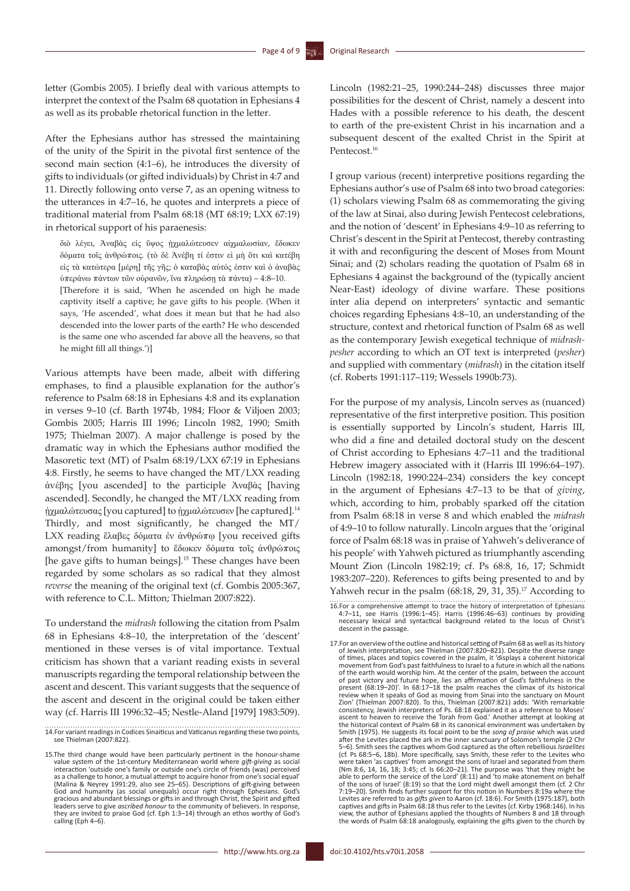letter (Gombis 2005). I briefly deal with various attempts to interpret the context of the Psalm 68 quotation in Ephesians 4 as well as its probable rhetorical function in the letter.

After the Ephesians author has stressed the maintaining of the unity of the Spirit in the pivotal first sentence of the second main section (4:1–6), he introduces the diversity of gifts to individuals (or gifted individuals) by Christ in 4:7 and 11. Directly following onto verse 7, as an opening witness to the utterances in 4:7–16, he quotes and interprets a piece of traditional material from Psalm 68:18 (MT 68:19; LXX 67:19) in rhetorical support of his paraenesis:

διὸ λέγει, Ἀναβὰς εἰς ὕψος ᾐχμαλώτευσεν αἰχμαλωσίαν, ἔδωκεν δόματα τοῖς ἀνθρώποις. (τὸ δὲ Ἀνέβη τί ἐστιν εἰ μὴ ὅτι καὶ κατέβη εἰς τὰ κατώτερα [μέρη] τῆς γῆς; ὁ καταβὰς αὐτός ἐστιν καὶ ὁ ἀναβὰς ὑπεράνω πάντων τῶν οὐρανῶν, ἵνα πληρώσῃ τὰ πάντα) – 4:8–10.

[Therefore it is said, 'When he ascended on high he made captivity itself a captive; he gave gifts to his people. (When it says, 'He ascended', what does it mean but that he had also descended into the lower parts of the earth? He who descended is the same one who ascended far above all the heavens, so that he might fill all things.')]

Various attempts have been made, albeit with differing emphases, to find a plausible explanation for the author's reference to Psalm 68:18 in Ephesians 4:8 and its explanation in verses 9–10 (cf. Barth 1974b, 1984; Floor & Viljoen 2003; Gombis 2005; Harris III 1996; Lincoln 1982, 1990; Smith 1975; Thielman 2007). A major challenge is posed by the dramatic way in which the Ephesians author modified the Masoretic text (MT) of Psalm 68:19/LXX 67:19 in Ephesians 4:8. Firstly, he seems to have changed the MT/LXX reading ἀvέβης [you ascended] to the participle Ἀναβὰς [having ascended]. Secondly, he changed the MT/LXX reading from ήχμαλώτευσας [you captured] to ήχμαλώτευσεν [he captured].<sup>14</sup> Thirdly, and most significantly, he changed the MT/ LXX reading ἔλαβες δόματα ἐν ἀνθρώπῳ [you received gifts amongst/from humanity] to ἔδωκεν δόματα τοῖς ἀνθρώποις [he gave gifts to human beings]. 15 These changes have been regarded by some scholars as so radical that they almost *reverse* the meaning of the original text (cf. Gombis 2005:367, with reference to C.L. Mitton; Thielman 2007:822).

To understand the *midrash* following the citation from Psalm 68 in Ephesians 4:8–10, the interpretation of the 'descent' mentioned in these verses is of vital importance. Textual criticism has shown that a variant reading exists in several manuscripts regarding the temporal relationship between the ascent and descent. This variant suggests that the sequence of the ascent and descent in the original could be taken either way (cf. Harris III 1996:32–45; Nestle-Aland [1979] 1983:509).

Lincoln (1982:21–25, 1990:244–248) discusses three major possibilities for the descent of Christ, namely a descent into Hades with a possible reference to his death, the descent to earth of the pre-existent Christ in his incarnation and a subsequent descent of the exalted Christ in the Spirit at Pentecost.<sup>16</sup>

I group various (recent) interpretive positions regarding the Ephesians author's use of Psalm 68 into two broad categories: (1) scholars viewing Psalm 68 as commemorating the giving of the law at Sinai, also during Jewish Pentecost celebrations, and the notion of 'descent' in Ephesians 4:9–10 as referring to Christ's descent in the Spirit at Pentecost, thereby contrasting it with and reconfiguring the descent of Moses from Mount Sinai; and (2) scholars reading the quotation of Psalm 68 in Ephesians 4 against the background of the (typically ancient Near-East) ideology of divine warfare. These positions inter alia depend on interpreters' syntactic and semantic choices regarding Ephesians 4:8–10, an understanding of the structure, context and rhetorical function of Psalm 68 as well as the contemporary Jewish exegetical technique of *midrashpesher* according to which an OT text is interpreted (*pesher*) and supplied with commentary (*midrash*) in the citation itself (cf. Roberts 1991:117–119; Wessels 1990b:73).

For the purpose of my analysis, Lincoln serves as (nuanced) representative of the first interpretive position. This position is essentially supported by Lincoln's student, Harris III, who did a fine and detailed doctoral study on the descent of Christ according to Ephesians 4:7–11 and the traditional Hebrew imagery associated with it (Harris III 1996:64–197). Lincoln (1982:18, 1990:224–234) considers the key concept in the argument of Ephesians 4:7–13 to be that of *giving*, which, according to him, probably sparked off the citation from Psalm 68:18 in verse 8 and which enabled the *midrash* of 4:9–10 to follow naturally. Lincoln argues that the 'original force of Psalm 68:18 was in praise of Yahweh's deliverance of his people' with Yahweh pictured as triumphantly ascending Mount Zion (Lincoln 1982:19; cf. Ps 68:8, 16, 17; Schmidt 1983:207–220). References to gifts being presented to and by Yahweh recur in the psalm  $(68:18, 29, 31, 35).$ <sup>17</sup> According to

16. For a comprehensive attempt to trace the history of interpretation of Ephesians 4:7–11, see Harris (1996:1–45). Harris (1996:16–46)<br>17-11, see Harris (1996:1–45). Harris (1996:16–63) continues by providing<br>17 necessary descent in the passage.

<sup>14.</sup>For variant readings in Codices Sinaiticus and Vaticanus regarding these two points, see Thielman (2007:822).

<sup>15.</sup>The third change would have been particularly pertinent in the honour-shame value system of the 1st-century Mediterranean world where *gift-giving* as social interaction 'outside one's family or outside one's circle of friends (was) perceived as a challenge to honor, a mutual attempt to acquire honor from one's social equal' (Malina & Neyrey 1991:29, also see 25–65). Descriptions of gift-giving between God and humanity (as social unequals) occur right through Ephesians. God's<br>gracious and abundant blessings or gifts in and through Christ, the Spirit and gifted<br>leaders serve to give *ascribed honour* to the community of b they are invited to praise God (cf. Eph 1:3–14) through an ethos worthy of God's calling (Eph 4–6).

<sup>17.</sup>For an overview of the outline and historical setting of Psalm 68 as well as its history of Jewish interpretation, see Thielman (2007:820–821). Despite the diverse range of times, places and topics covered in the psalm, it 'displays a coherent historical movement from God's past faithfulness to Israel to a future in which all the nations of the earth would worship him. At the center of the psalm, between the account<br>of past victory and future hope, lies an affirmation of God's faithfulness in the<br>present (68:19–20)'. In 68:17–18 the psalm reaches the clima Zion' (Thielman 2007:820). To this, Thielman (2007:821) adds: 'With remarkable consistency, Jewish interpreters of Ps. 68:18 explained it as a reference to Moses' ascent to heaven to receive the Torah from God.' Another attempt at looking at the historical context of Psalm 68 in its canonical environment was undertaken by Smith (1975). He suggests its focal point to be the *song of praise* which was used after the Levites placed the ark in the inner sanctuary of Solomon's temple (2 Chr 5–6). Smith sees the captives whom God captured as the often rebellious *Israelites* (cf. Ps 68:5–6, 18b). More specifically, says Smith, these refer to the Levites who<br>were taken 'as captives' from amongst the sons of Isr able to perform the service of the Lord' (8:11) and 'to make atonement on behalf of the sons of Israel' (8:19) so that the Lord might dwell amongst them (cf. 2 Chr 7:19–20). Smith finds further support for this notion in Numbers 8:19a where the<br>Levites are referred to as gifts given to Aaron (cf. 18:6). For Smith (1975:187), both<br>captives and gifts in Psalm 68:18 thus refer to the Le view, the author of Ephesians applied the thoughts of Numbers 8 and 18 through the words of Psalm 68:18 analogously, explaining the gifts given to the church by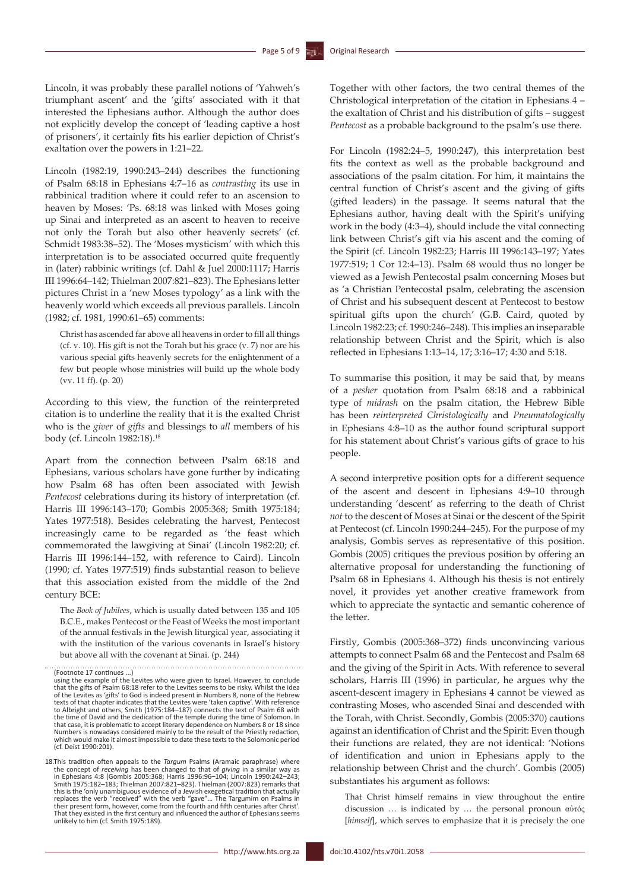Lincoln, it was probably these parallel notions of 'Yahweh's triumphant ascent' and the 'gifts' associated with it that interested the Ephesians author. Although the author does not explicitly develop the concept of 'leading captive a host of prisoners', it certainly fits his earlier depiction of Christ's exaltation over the powers in 1:21–22.

Lincoln (1982:19, 1990:243–244) describes the functioning of Psalm 68:18 in Ephesians 4:7–16 as *contrasting* its use in rabbinical tradition where it could refer to an ascension to heaven by Moses: 'Ps. 68:18 was linked with Moses going up Sinai and interpreted as an ascent to heaven to receive not only the Torah but also other heavenly secrets' (cf. Schmidt 1983:38–52). The 'Moses mysticism' with which this interpretation is to be associated occurred quite frequently in (later) rabbinic writings (cf. Dahl & Juel 2000:1117; Harris III 1996:64–142; Thielman 2007:821–823). The Ephesians letter pictures Christ in a 'new Moses typology' as a link with the heavenly world which exceeds all previous parallels. Lincoln (1982; cf. 1981, 1990:61–65) comments:

Christ has ascended far above all heavens in order to fill all things (cf. v. 10). His gift is not the Torah but his grace (v. 7) nor are his various special gifts heavenly secrets for the enlightenment of a few but people whose ministries will build up the whole body (vv. 11 ff). (p. 20)

According to this view, the function of the reinterpreted citation is to underline the reality that it is the exalted Christ who is the *giver* of *gifts* and blessings to *all* members of his body (cf. Lincoln 1982:18).18

Apart from the connection between Psalm 68:18 and Ephesians, various scholars have gone further by indicating how Psalm 68 has often been associated with Jewish *Pentecost* celebrations during its history of interpretation (cf. Harris III 1996:143–170; Gombis 2005:368; Smith 1975:184; Yates 1977:518). Besides celebrating the harvest, Pentecost increasingly came to be regarded as 'the feast which commemorated the lawgiving at Sinai' (Lincoln 1982:20; cf. Harris III 1996:144–152, with reference to Caird). Lincoln (1990; cf. Yates 1977:519) finds substantial reason to believe that this association existed from the middle of the 2nd century BCE:

The *Book of Jubilees*, which is usually dated between 135 and 105 B.C.E., makes Pentecost or the Feast of Weeks the most important of the annual festivals in the Jewish liturgical year, associating it with the institution of the various covenants in Israel's history but above all with the covenant at Sinai. (p. 244)

Together with other factors, the two central themes of the Christological interpretation of the citation in Ephesians 4 – the exaltation of Christ and his distribution of gifts – suggest *Pentecost* as a probable background to the psalm's use there.

For Lincoln (1982:24–5, 1990:247), this interpretation best fits the context as well as the probable background and associations of the psalm citation. For him, it maintains the central function of Christ's ascent and the giving of gifts (gifted leaders) in the passage. It seems natural that the Ephesians author, having dealt with the Spirit's unifying work in the body (4:3–4), should include the vital connecting link between Christ's gift via his ascent and the coming of the Spirit (cf. Lincoln 1982:23; Harris III 1996:143–197; Yates 1977:519; 1 Cor 12:4–13). Psalm 68 would thus no longer be viewed as a Jewish Pentecostal psalm concerning Moses but as 'a Christian Pentecostal psalm, celebrating the ascension of Christ and his subsequent descent at Pentecost to bestow spiritual gifts upon the church' (G.B. Caird, quoted by Lincoln 1982:23; cf. 1990:246–248). This implies an inseparable relationship between Christ and the Spirit, which is also reflected in Ephesians 1:13–14, 17; 3:16–17; 4:30 and 5:18.

To summarise this position, it may be said that, by means of a *pesher* quotation from Psalm 68:18 and a rabbinical type of *midrash* on the psalm citation, the Hebrew Bible has been *reinterpreted Christologically* and *Pneumatologically* in Ephesians 4:8–10 as the author found scriptural support for his statement about Christ's various gifts of grace to his people.

A second interpretive position opts for a different sequence of the ascent and descent in Ephesians 4:9–10 through understanding 'descent' as referring to the death of Christ *not* to the descent of Moses at Sinai or the descent of the Spirit at Pentecost (cf. Lincoln 1990:244–245). For the purpose of my analysis, Gombis serves as representative of this position. Gombis (2005) critiques the previous position by offering an alternative proposal for understanding the functioning of Psalm 68 in Ephesians 4. Although his thesis is not entirely novel, it provides yet another creative framework from which to appreciate the syntactic and semantic coherence of the letter.

Firstly, Gombis (2005:368–372) finds unconvincing various attempts to connect Psalm 68 and the Pentecost and Psalm 68 and the giving of the Spirit in Acts. With reference to several scholars, Harris III (1996) in particular, he argues why the ascent-descent imagery in Ephesians 4 cannot be viewed as contrasting Moses, who ascended Sinai and descended with the Torah, with Christ. Secondly, Gombis (2005:370) cautions against an identification of Christ and the Spirit: Even though their functions are related, they are not identical: 'Notions of identification and union in Ephesians apply to the relationship between Christ and the church'. Gombis (2005) substantiates his argument as follows:

That Christ himself remains in view throughout the entire discussion … is indicated by … the personal pronoun αὐτός [*himself*], which serves to emphasize that it is precisely the one

<sup>(</sup>Footnote 17 continues ...) using the example of the Levites who were given to Israel. However, to conclude<br>that the gifts of Psalm 68:18 refer to the Levites seems to be risky. Whilst the idea<br>of the Levites as 'gifts' to God is indeed present in Nu texts of that chapter indicates that the Levites were 'taken captive'. With reference to Albright and others, Smith (1975:184–187) connects the text of Psalm 68 with the time of David and the dedication of the temple during the time of Solomon. In that case, it is problematic to accept literary dependence on Numbers 8 or 18 since Numbers is nowadays considered mainly to be the result of the Priestly redaction, which would make it almost impossible to date these texts to the Solomonic period (cf. Deist 1990:201).

<sup>18.</sup>This tradition often appeals to the *Targum* Psalms (Aramaic paraphrase) where the concept of *receiving* has been changed to that of *giving* in a similar way as<br>in Ephesians 4:8 (Gombis 2005:368; Harris 1996:96–104; Lincoln 1990:242–243;<br>Smith 1975:182–183; Thielman 2007:821–823). Thielman (2007:82 this is the 'only unambiguous evidence of a Jewish exegetical tradition that actually<br>replaces the verb "received" with the verb "gave"... The Targumim on Psalms in<br>their present form, however, come from the fourth and fif That they existed in the first century and influenced the author of Ephesians seems unlikely to him (cf. Smith 1975:189).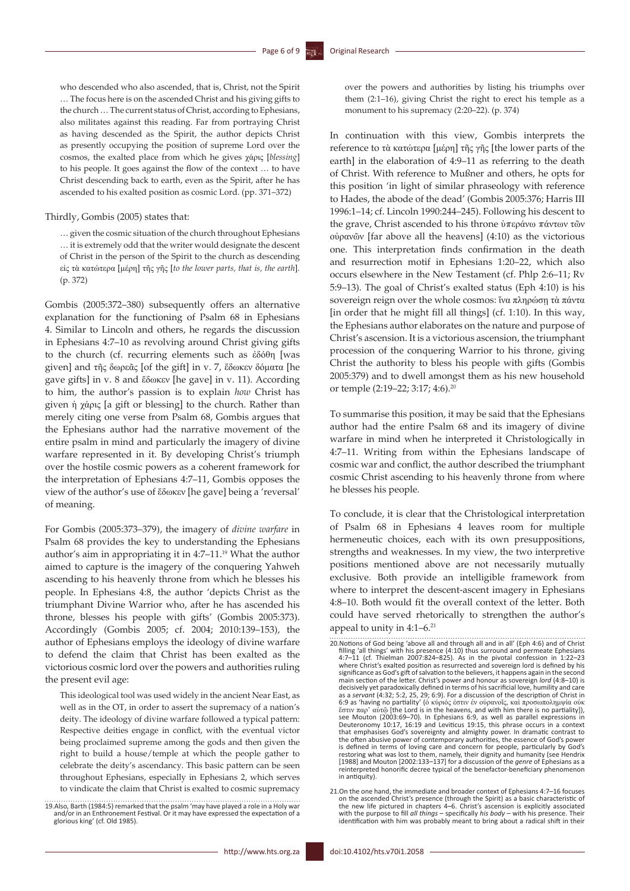who descended who also ascended, that is, Christ, not the Spirit … The focus here is on the ascended Christ and his giving gifts to the church … The current status of Christ, according to Ephesians, also militates against this reading. Far from portraying Christ as having descended as the Spirit, the author depicts Christ as presently occupying the position of supreme Lord over the cosmos, the exalted place from which he gives χάρις [*blessing*] to his people. It goes against the flow of the context … to have Christ descending back to earth, even as the Spirit, after he has ascended to his exalted position as cosmic Lord. (pp. 371–372)

#### Thirdly, Gombis (2005) states that:

… given the cosmic situation of the church throughout Ephesians … it is extremely odd that the writer would designate the descent of Christ in the person of the Spirit to the church as descending εἰς τὰ κατώτερα [μέρη] τῆς γῆς [*to the lower parts, that is, the earth*]. (p. 372)

Gombis (2005:372–380) subsequently offers an alternative explanation for the functioning of Psalm 68 in Ephesians 4. Similar to Lincoln and others, he regards the discussion in Ephesians 4:7–10 as revolving around Christ giving gifts to the church (cf. recurring elements such as ἐδόθη [was given] and τῆς δωρεᾶς [of the gift] in v. 7, ἔδωκεν δόματα [he gave gifts] in v. 8 and ἔδωκεν [he gave] in v. 11). According to him, the author's passion is to explain *how* Christ has given ἡ χάρις [a gift or blessing] to the church. Rather than merely citing one verse from Psalm 68, Gombis argues that the Ephesians author had the narrative movement of the entire psalm in mind and particularly the imagery of divine warfare represented in it. By developing Christ's triumph over the hostile cosmic powers as a coherent framework for the interpretation of Ephesians 4:7–11, Gombis opposes the view of the author's use of ἔδωκεν [he gave] being a 'reversal' of meaning.

For Gombis (2005:373–379), the imagery of *divine warfare* in Psalm 68 provides the key to understanding the Ephesians author's aim in appropriating it in 4:7–11.19 What the author aimed to capture is the imagery of the conquering Yahweh ascending to his heavenly throne from which he blesses his people. In Ephesians 4:8, the author 'depicts Christ as the triumphant Divine Warrior who, after he has ascended his throne, blesses his people with gifts' (Gombis 2005:373). Accordingly (Gombis 2005; cf. 2004; 2010:139–153), the author of Ephesians employs the ideology of divine warfare to defend the claim that Christ has been exalted as the victorious cosmic lord over the powers and authorities ruling the present evil age:

This ideological tool was used widely in the ancient Near East, as well as in the OT, in order to assert the supremacy of a nation's deity. The ideology of divine warfare followed a typical pattern: Respective deities engage in conflict, with the eventual victor being proclaimed supreme among the gods and then given the right to build a house/temple at which the people gather to celebrate the deity's ascendancy. This basic pattern can be seen throughout Ephesians, especially in Ephesians 2, which serves to vindicate the claim that Christ is exalted to cosmic supremacy

19.Also, Barth (1984:5) remarked that the psalm 'may have played a role in a Holy war and/or in an Enthronement Festival. Or it may have expressed the expectation of a glorious king' (cf. Old 1985).

over the powers and authorities by listing his triumphs over them (2:1–16), giving Christ the right to erect his temple as a monument to his supremacy (2:20–22). (p. 374)

In continuation with this view, Gombis interprets the reference to τὰ κατώτερα [μέρη] τῆς γῆς [the lower parts of the earth] in the elaboration of 4:9–11 as referring to the death of Christ. With reference to Mußner and others, he opts for this position 'in light of similar phraseology with reference to Hades, the abode of the dead' (Gombis 2005:376; Harris III 1996:1–14; cf. Lincoln 1990:244–245). Following his descent to the grave, Christ ascended to his throne ὑπεράνω πάντων τῶν οὐρανῶν [far above all the heavens] (4:10) as the victorious one. This interpretation finds confirmation in the death and resurrection motif in Ephesians 1:20–22, which also occurs elsewhere in the New Testament (cf. Phlp 2:6–11; Rv 5:9–13). The goal of Christ's exalted status (Eph 4:10) is his sovereign reign over the whole cosmos: ἵνα πληρώσῃ τὰ πάντα [in order that he might fill all things] (cf. 1:10). In this way, the Ephesians author elaborates on the nature and purpose of Christ's ascension. It is a victorious ascension, the triumphant procession of the conquering Warrior to his throne, giving Christ the authority to bless his people with gifts (Gombis 2005:379) and to dwell amongst them as his new household or temple (2:19–22; 3:17; 4:6).20

To summarise this position, it may be said that the Ephesians author had the entire Psalm 68 and its imagery of divine warfare in mind when he interpreted it Christologically in 4:7–11. Writing from within the Ephesians landscape of cosmic war and conflict, the author described the triumphant cosmic Christ ascending to his heavenly throne from where he blesses his people.

To conclude, it is clear that the Christological interpretation of Psalm 68 in Ephesians 4 leaves room for multiple hermeneutic choices, each with its own presuppositions, strengths and weaknesses. In my view, the two interpretive positions mentioned above are not necessarily mutually exclusive. Both provide an intelligible framework from where to interpret the descent-ascent imagery in Ephesians 4:8–10. Both would fit the overall context of the letter. Both could have served rhetorically to strengthen the author's appeal to unity in  $4:1-6.<sup>21</sup>$ 

21.On the one hand, the immediate and broader context of Ephesians 4:7–16 focuses<br>on the ascended Christ's presence (through the Spirit) as a basic characteristic of<br>the new life pictured in chapters 4–6. Christ's ascensio with the purpose to fill *all things* – specifically *his body* – with his presence. Their identification with him was probably meant to bring about a radical shift in their

<sup>20.</sup>Notions of God being 'above all and through all and in all' (Eph 4:6) and of Christ filling 'all things' with his presence (4:10) thus surround and permeate Ephesians 4:7–11 (cf. Thielman 2007:824–825). As in the pivotal confession in 1:22–23 where Christ's exalted position as resurrected and sovereign lord is defined by his significance as God's gift of salvation to the believers, it happens again in the second main section of the letter. Christ's power and honour as sovereign *lord* (4:8–10) is decisively yet paradoxically defined in terms of his sacrificial love, humility and care as a *servant* (4:32; 5:2, 25, 29; 6:9). For a discussion of the description of Christ in 6:9 as 'having no partiality' (ὁ κύριός ἐστιν ἐν οὐρανοῖς, καὶ προσωπολημψία οὐκ ἔστιν παρ' αὐτῷ [the Lord is in the heavens, and with him there is no partiality]), see Mouton (2003:69–70). In Ephesians 6:9, as well as parallel expressions in Deuteronomy 10:17, 16:19 and Leviticus 19:15, this phrase occurs in a context that emphasises God's sovereignty and almighty power. In dramatic contrast to the often abusive power of contemporary authorities, the essence of God's power is defined in terms of loving care and concern for people, particularly by God's<br>restoring what was lost to them, namely, their dignity and humanity (see Hendrix<br>[1988] and Mouton [2002:133-137] for a discussion of the gen in antiquity).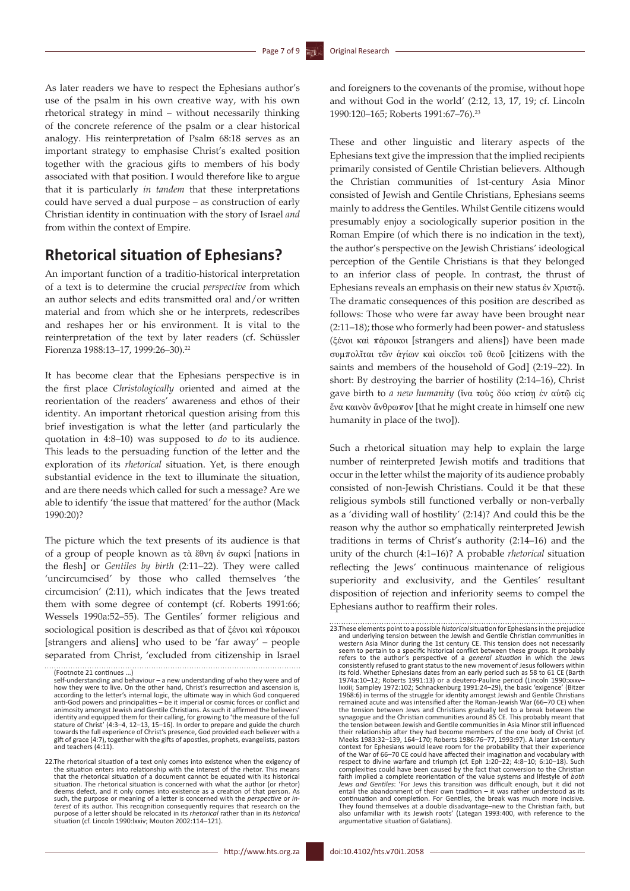As later readers we have to respect the Ephesians author's use of the psalm in his own creative way, with his own rhetorical strategy in mind – without necessarily thinking of the concrete reference of the psalm or a clear historical analogy. His reinterpretation of Psalm 68:18 serves as an important strategy to emphasise Christ's exalted position together with the gracious gifts to members of his body associated with that position. I would therefore like to argue that it is particularly *in tandem* that these interpretations could have served a dual purpose – as construction of early Christian identity in continuation with the story of Israel *and* from within the context of Empire.

### **Rhetorical situation of Ephesians?**

An important function of a traditio-historical interpretation of a text is to determine the crucial *perspective* from which an author selects and edits transmitted oral and/or written material and from which she or he interprets, redescribes and reshapes her or his environment. It is vital to the reinterpretation of the text by later readers (cf. Schüssler Fiorenza 1988:13–17, 1999:26–30).22

It has become clear that the Ephesians perspective is in the first place *Christologically* oriented and aimed at the reorientation of the readers' awareness and ethos of their identity. An important rhetorical question arising from this brief investigation is what the letter (and particularly the quotation in 4:8–10) was supposed to *do* to its audience. This leads to the persuading function of the letter and the exploration of its *rhetorical* situation. Yet, is there enough substantial evidence in the text to illuminate the situation, and are there needs which called for such a message? Are we able to identify 'the issue that mattered' for the author (Mack 1990:20)?

The picture which the text presents of its audience is that of a group of people known as τὰ ἔθνη ἐν σαρκί [nations in the flesh] or *Gentiles by birth* (2:11–22). They were called 'uncircumcised' by those who called themselves 'the circumcision' (2:11), which indicates that the Jews treated them with some degree of contempt (cf. Roberts 1991:66; Wessels 1990a:52–55). The Gentiles' former religious and sociological position is described as that of ξένοι καὶ πάροικοι [strangers and aliens] who used to be 'far away' – people separated from Christ, 'excluded from citizenship in Israel 

(Footnote 21 continues ...)

and foreigners to the covenants of the promise, without hope and without God in the world' (2:12, 13, 17, 19; cf. Lincoln 1990:120–165; Roberts 1991:67–76).23

These and other linguistic and literary aspects of the Ephesians text give the impression that the implied recipients primarily consisted of Gentile Christian believers. Although the Christian communities of 1st-century Asia Minor consisted of Jewish and Gentile Christians, Ephesians seems mainly to address the Gentiles. Whilst Gentile citizens would presumably enjoy a sociologically superior position in the Roman Empire (of which there is no indication in the text), the author's perspective on the Jewish Christians' ideological perception of the Gentile Christians is that they belonged to an inferior class of people. In contrast, the thrust of Ephesians reveals an emphasis on their new status ἐν Χριστῷ. The dramatic consequences of this position are described as follows: Those who were far away have been brought near (2:11–18); those who formerly had been power- and statusless (ξένοι καὶ πάροικοι [strangers and aliens]) have been made συμπολῖται τῶν ἁγίων καὶ οἰκεῖοι τοῦ θεοῦ [citizens with the saints and members of the household of God] (2:19–22). In short: By destroying the barrier of hostility (2:14–16), Christ gave birth to *a new humanity* (ἵνα τοὺς δύο κτίσῃ ἐν αὑτῷ εἰς ἕνα καινὸν ἄνθρωπον [that he might create in himself one new humanity in place of the two]).

Such a rhetorical situation may help to explain the large number of reinterpreted Jewish motifs and traditions that occur in the letter whilst the majority of its audience probably consisted of non-Jewish Christians. Could it be that these religious symbols still functioned verbally or non-verbally as a 'dividing wall of hostility' (2:14)? And could this be the reason why the author so emphatically reinterpreted Jewish traditions in terms of Christ's authority (2:14–16) and the unity of the church (4:1–16)? A probable *rhetorical* situation reflecting the Jews' continuous maintenance of religious superiority and exclusivity, and the Gentiles' resultant disposition of rejection and inferiority seems to compel the Ephesians author to reaffirm their roles.

self-understanding and behaviour – a new understanding of who they were and of how they were to live. On the other hand, Christ's resurrection and ascension is, according to the letter's internal logic, the ultimate way in which God conquered anti-God powers and principalities – be it imperial or cosmic forces or conflict and animosity amongst Jewish and Gentile Christians. As such it affirmed the believers' identity and equipped them for their calling, for growing to 'the measure of the full stature of Christ' (4:3–4, 12–13, 15–16). In order to prepare and guide the church towards the full experience of Christ's presence, God provided each believer with a gift of grace (4:7), together with the gifts of apostles, prophets, evangelists, pastors and teachers (4:11).

<sup>22.</sup> The rhetorical situation of a text only comes into existence when the exigency of the situation enters into relationship with the interest of the rhetor. This means that the rhetorical situation of a document cannot be equated with its historical situation. The rhetorical situation is concerned with what the author (or rhetor) deems defect, and it only comes into existence as a creation of that person. As such, the purpose or meaning of a letter is concerned with the *perspective* or *interest* of its author. This recognition consequently requires that research on the purpose of a letter should be relocated in its *rhetorical* rather than in its *historical* situation (cf. Lincoln 1990:lxxiv; Mouton 2002:114–121).

<sup>23.</sup>These elements point to a possible *historical* situation for Ephesians in the prejudice and underlying tension between the Jewish and Gentile Christian communities in western Asia Minor during the 1st century CE. This tension does not necessarily seem to pertain to a specific historical conflict between these groups. It probably refers to the author's perspective of a *general situation* in which the Jews consistently refused to grant status to the new movement of Jesus followers within its fold. Whether Ephesians dates from an early period such as 58 to 61 CE (Barth 1974a:10–12; Roberts 1991:13) or a deutero-Pauline period (Lincoln 1990:xxxv– lxxiii; Sampley 1972:102; Schnackenburg 1991:24–29), the basic 'exigence' (Bitzer 1968:6) in terms of the struggle for identity amongst Jewish and Gentile Christians remained acute and was intensified after the Roman-Jewish War (66–70 CE) when<br>the tension between Jews and Christians gradually led to a break between the<br>synagogue and the Christian communities around 85 CE. This probably the tension between Jewish and Gentile communities in Asia Minor still influenced their relationship after they had become members of the one body of Christ (cf. Meeks 1983:32–139, 164–170; Roberts 1986:76–77, 1993:97). A later 1st-century context for Ephesians would leave room for the probability that their experience of the War of 66–70 CE could have affected their imagination and vocabulary with respect to divine warfare and triumph (cf. Eph 1:20–22; 4:8–10; 6:10–18). Such complexities could have been caused by the fact that conversion to the Christian faith implied a complete reorientation of the value systems and lifestyle of *both Jews and Gentiles*: 'For Jews this transition was difficult enough, but it did not entail the abandonment of their own tradition – it was rather understood as its continuation and completion. For Gentiles, the break was much more incisive. They found themselves at a double disadvantage–new to the Christian faith, but also unfamiliar with its Jewish roots' (Lategan 1993:400, with reference to the argumentative situation of Galatians).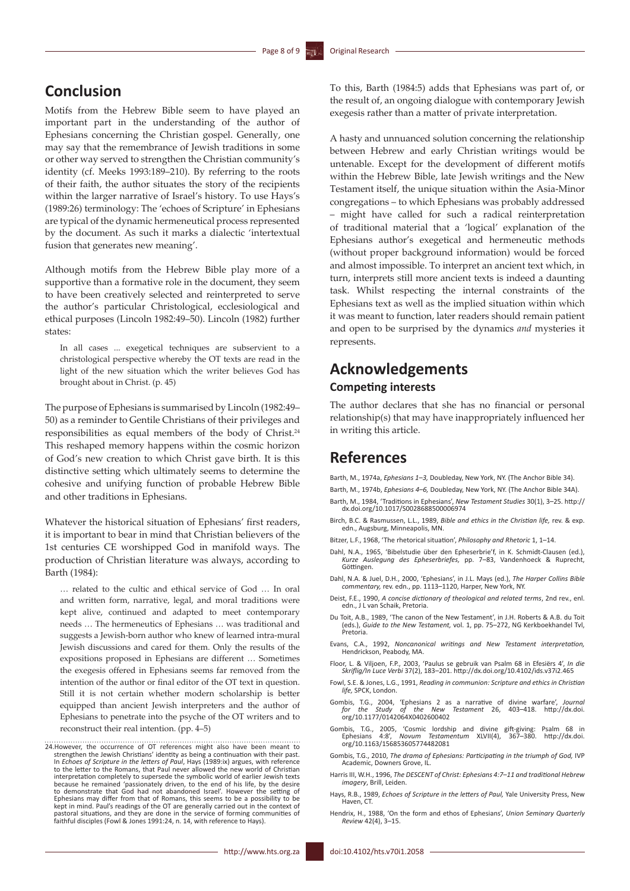## **Conclusion**

Motifs from the Hebrew Bible seem to have played an important part in the understanding of the author of Ephesians concerning the Christian gospel. Generally, one may say that the remembrance of Jewish traditions in some or other way served to strengthen the Christian community's identity (cf. Meeks 1993:189–210). By referring to the roots of their faith, the author situates the story of the recipients within the larger narrative of Israel's history. To use Hays's (1989:26) terminology: The 'echoes of Scripture' in Ephesians are typical of the dynamic hermeneutical process represented by the document. As such it marks a dialectic 'intertextual fusion that generates new meaning'.

Although motifs from the Hebrew Bible play more of a supportive than a formative role in the document, they seem to have been creatively selected and reinterpreted to serve the author's particular Christological, ecclesiological and ethical purposes (Lincoln 1982:49–50). Lincoln (1982) further states:

In all cases ... exegetical techniques are subservient to a christological perspective whereby the OT texts are read in the light of the new situation which the writer believes God has brought about in Christ. (p. 45)

The purpose of Ephesians is summarised by Lincoln (1982:49– 50) as a reminder to Gentile Christians of their privileges and responsibilities as equal members of the body of Christ.24 This reshaped memory happens within the cosmic horizon of God's new creation to which Christ gave birth. It is this distinctive setting which ultimately seems to determine the cohesive and unifying function of probable Hebrew Bible and other traditions in Ephesians.

Whatever the historical situation of Ephesians' first readers, it is important to bear in mind that Christian believers of the 1st centuries CE worshipped God in manifold ways. The production of Christian literature was always, according to Barth (1984):

… related to the cultic and ethical service of God … In oral and written form, narrative, legal, and moral traditions were kept alive, continued and adapted to meet contemporary needs … The hermeneutics of Ephesians … was traditional and suggests a Jewish-born author who knew of learned intra-mural Jewish discussions and cared for them. Only the results of the expositions proposed in Ephesians are different … Sometimes the exegesis offered in Ephesians seems far removed from the intention of the author or final editor of the OT text in question. Still it is not certain whether modern scholarship is better equipped than ancient Jewish interpreters and the author of Ephesians to penetrate into the psyche of the OT writers and to reconstruct their real intention. (pp. 4–5)

24. However, the occurrence of OT references might also have been meant to strengthen the Jewish Christians' identity as being a continuation with their past. In problem is the choces of proul, the past of Paul, Hays (1989 interpretation completely to supersede the symbolic world of earlier Jewish texts because he remained 'passionately driven, to the end of his life, by the desire to demonstrate that God had not abandoned Israel'. However the setting of Ephesians may differ from that of Romans, this seems to be a possibility to be kept in mind. Paul's readings of the OT are generally carried out in To this, Barth (1984:5) adds that Ephesians was part of, or the result of, an ongoing dialogue with contemporary Jewish exegesis rather than a matter of private interpretation.

A hasty and unnuanced solution concerning the relationship between Hebrew and early Christian writings would be untenable. Except for the development of different motifs within the Hebrew Bible, late Jewish writings and the New Testament itself, the unique situation within the Asia-Minor congregations – to which Ephesians was probably addressed – might have called for such a radical reinterpretation of traditional material that a 'logical' explanation of the Ephesians author's exegetical and hermeneutic methods (without proper background information) would be forced and almost impossible. To interpret an ancient text which, in turn, interprets still more ancient texts is indeed a daunting task. Whilst respecting the internal constraints of the Ephesians text as well as the implied situation within which it was meant to function, later readers should remain patient and open to be surprised by the dynamics *and* mysteries it represents.

### **Acknowledgements Competing interests**

The author declares that she has no financial or personal relationship(s) that may have inappropriately influenced her in writing this article.

### **References**

Barth, M., 1974a, *Ephesians 1–3,* Doubleday, New York, NY. (The Anchor Bible 34).

Barth, M., 1974b, *Ephesians 4–6,* Doubleday, New York, NY. (The Anchor Bible 34A).

- Barth, M., 1984, 'Traditions in Ephesians', *New Testament Studies* 30(1), 3–25. [http://](http://dx.doi.org/10.1017/S0028688500006974) [dx.doi.org/10.1017/S0028688500006974](http://dx.doi.org/10.1017/S0028688500006974)
- Birch, B.C. & Rasmussen, L.L., 1989, *Bible and ethics in the Christian life,* rev. & exp. edn., Augsburg, Minneapolis, MN.
- Bitzer, L.F., 1968, 'The rhetorical situation', *Philosophy and Rhetoric* 1, 1–14.
- Dahl, N.A., 1965, 'Bibelstudie über den Epheserbrie'f, in K. Schmidt-Clausen (ed.), *Kurze Auslegung des Epheserbriefes,* pp. 7–83, Vandenhoeck & Ruprecht, Göttingen.
- Dahl, N.A. & Juel, D.H., 2000, 'Ephesians', in J.L. Mays (ed.), *The Harper Collins Bible commentary,* rev. edn., pp. 1113–1120, Harper, New York, NY.
- Deist, F.E., 1990, *A concise dictionary of theological and related terms*, 2nd rev., enl. edn., J L van Schaik, Pretoria.
- Du Toit, A.B., 1989, 'The canon of the New Testament', in J.H. Roberts & A.B. du Toit (eds.), *Guide to the New Testament,* vol. 1, pp. 75–272, NG Kerkboekhandel Tvl, Pretoria.
- Evans, C.A., 1992, *Noncanonical writings and New Testament interpretation,* Hendrickson, Peabody, MA.
- Floor, L. & Viljoen, F.P., 2003, 'Paulus se gebruik van Psalm 68 in Efesiërs 4', *In die Skriflig/In Luce Verbi* 37(2), 183–201. <http://dx.doi.org/10.4102/ids.v37i2.465>
- Fowl, S.E. & Jones, L.G., 1991, *Reading in communion: Scripture and ethics in Christian life,* SPCK, London.
- Gombis, T.G., 2004, 'Ephesians 2 as a narrative of divine warfare', *Journal for the Study of the New Testament* 26, 403–418. [http://dx.doi.](http://dx.doi.org/10.1177/0142064X0402600402) [org/10.1177/0142064X0402600402](http://dx.doi.org/10.1177/0142064X0402600402)
- Gombis, T.G., 2005, 'Cosmic lordship and divine gift-giving: Psalm 68 in Ephesians 4:8', *Novum Testamentum* XLVII(4), 367–380. [http://dx.doi.](http://dx.doi.org/10.1163/156853605774482081) [org/10.1163/156853605774482081](http://dx.doi.org/10.1163/156853605774482081)
- Gombis, T.G., 2010, *The drama of Ephesians: Participating in the triumph of God,* IVP Academic, Downers Grove, IL.
- Harris III, W.H., 1996, *The DESCENT of Christ: Ephesians 4:7–11 and traditional Hebrew imagery*, Brill, Leiden.
- Hays, R.B., 1989, *Echoes of Scripture in the letters of Paul,* Yale University Press, New Haven, CT.
- Hendrix, H., 1988, 'On the form and ethos of Ephesians', *Union Seminary Quarterly Review* 42(4), 3–15.